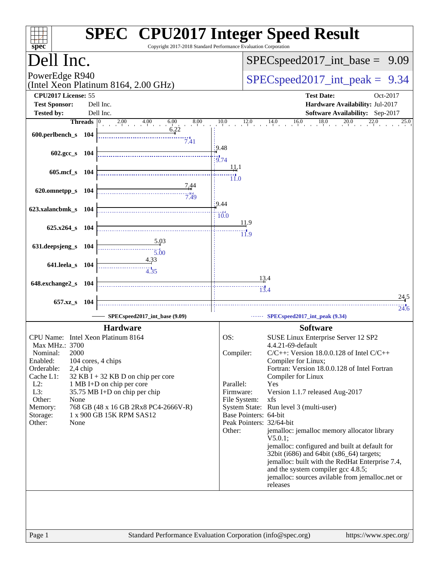| $s\overline{p}\overline{e}\overline{c}$     |                                                        | <b>SPEC<sup>®</sup> CPU2017 Integer Speed Result</b><br>Copyright 2017-2018 Standard Performance Evaluation Corporation |
|---------------------------------------------|--------------------------------------------------------|-------------------------------------------------------------------------------------------------------------------------|
| Dell Inc.                                   |                                                        | $SPEC speed2017\_int\_base =$<br>9.09                                                                                   |
| PowerEdge R940                              | (Intel Xeon Platinum 8164, 2.00 GHz)                   | $SPEC speed2017\_int\_peak = 9.34$                                                                                      |
| CPU2017 License: 55<br><b>Test Sponsor:</b> | Dell Inc.                                              | <b>Test Date:</b><br>Oct-2017<br>Hardware Availability: Jul-2017                                                        |
| <b>Tested by:</b><br>Threads $ 0 $          | Dell Inc.<br>$2.00 \t\t 4.00 \t\t 6.0$<br>6.00<br>8.00 | Software Availability: Sep-2017<br>18.0<br>10.0<br>$14.0$ $16.0$<br>20.0<br>$\overline{22.0}$<br>12.0<br>25.0           |
| 600.perlbench_s 104                         | 6.22<br>7.41                                           |                                                                                                                         |
| $602.\text{sec}$ s $104$                    |                                                        | 9.48<br>$\frac{1}{9.74}$<br><u>11</u> .1                                                                                |
| 605.mcf_s 104                               |                                                        | $\dddot{11.0}$                                                                                                          |
| 620.omnetpp_s 104                           | 7.49                                                   | 9.44                                                                                                                    |
| 623.xalancbmk_s 104<br>625.x264 s 104       |                                                        | $\frac{1}{0.0}$<br>11.9                                                                                                 |
| 631.deepsjeng_s 104                         | 5.03                                                   | $\overline{11.9}$                                                                                                       |
| 641.leela_s 104                             | $\overline{5.00}$<br>4.33                              |                                                                                                                         |
| 648.exchange2_s 104                         | 4.35                                                   | 13.4<br>13.4                                                                                                            |
| 657.xz_s<br>104                             |                                                        | 24,5                                                                                                                    |
|                                             | SPECspeed2017_int_base (9.09)                          | 24.6<br>SPECspeed2017_int_peak (9.34)                                                                                   |
| CPU Name: Intel Xeon Platinum 8164          | <b>Hardware</b>                                        | <b>Software</b><br>OS:<br>SUSE Linux Enterprise Server 12 SP2                                                           |
| Max MHz.: 3700                              |                                                        | 4.4.21-69-default                                                                                                       |
| 2000<br>Nominal:<br>Enabled:                | 104 cores, 4 chips                                     | Compiler:<br>$C/C++$ : Version 18.0.0.128 of Intel $C/C++$<br>Compiler for Linux;                                       |
| Orderable:<br>2,4 chip<br>Cache L1:         | $32$ KB I + 32 KB D on chip per core                   | Fortran: Version 18.0.0.128 of Intel Fortran<br>Compiler for Linux                                                      |
| $L2$ :                                      | 1 MB I+D on chip per core                              | Parallel:<br>Yes                                                                                                        |
| L3:                                         | 35.75 MB I+D on chip per chip                          | Firmware:<br>Version 1.1.7 released Aug-2017                                                                            |
| Other:<br>None<br>Memory:                   | 768 GB (48 x 16 GB 2Rx8 PC4-2666V-R)                   | File System:<br>xfs<br>System State: Run level 3 (multi-user)                                                           |
| Storage:                                    | 1 x 900 GB 15K RPM SAS12                               | Base Pointers: 64-bit<br>Peak Pointers: 32/64-bit                                                                       |
| Other:<br>None                              |                                                        | Other:<br>jemalloc: jemalloc memory allocator library                                                                   |
|                                             |                                                        | V5.0.1;                                                                                                                 |
|                                             |                                                        | jemalloc: configured and built at default for<br>32bit (i686) and 64bit (x86_64) targets;                               |
|                                             |                                                        | jemalloc: built with the RedHat Enterprise 7.4,                                                                         |
|                                             |                                                        | and the system compiler gcc 4.8.5;<br>jemalloc: sources avilable from jemalloc.net or<br>releases                       |
|                                             |                                                        |                                                                                                                         |
|                                             |                                                        |                                                                                                                         |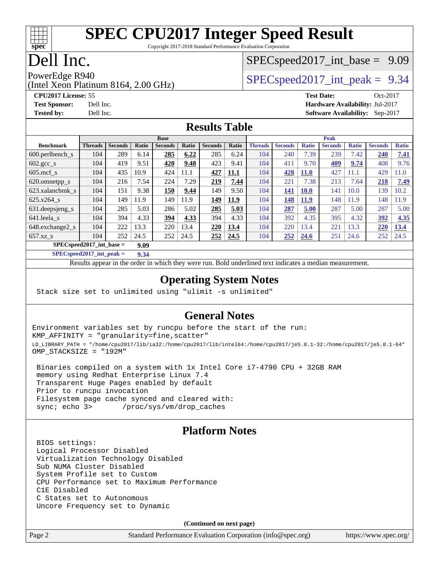#### $\pm\pm\prime$ **[spec](http://www.spec.org/)**

# **[SPEC CPU2017 Integer Speed Result](http://www.spec.org/auto/cpu2017/Docs/result-fields.html#SPECCPU2017IntegerSpeedResult)**

Copyright 2017-2018 Standard Performance Evaluation Corporation

## Dell Inc.

#### $SPECspeed2017\_int\_base = 9.09$

(Intel Xeon Platinum 8164, 2.00 GHz) PowerEdge R940<br>  $SPEC speed2017$  int peak = 9.34

**[Tested by:](http://www.spec.org/auto/cpu2017/Docs/result-fields.html#Testedby)** Dell Inc. **[Software Availability:](http://www.spec.org/auto/cpu2017/Docs/result-fields.html#SoftwareAvailability)** Sep-2017

**[CPU2017 License:](http://www.spec.org/auto/cpu2017/Docs/result-fields.html#CPU2017License)** 55 **[Test Date:](http://www.spec.org/auto/cpu2017/Docs/result-fields.html#TestDate)** Oct-2017 **[Test Sponsor:](http://www.spec.org/auto/cpu2017/Docs/result-fields.html#TestSponsor)** Dell Inc. **[Hardware Availability:](http://www.spec.org/auto/cpu2017/Docs/result-fields.html#HardwareAvailability)** Jul-2017

#### **[Results Table](http://www.spec.org/auto/cpu2017/Docs/result-fields.html#ResultsTable)**

|                                     | <b>Base</b>    |                |       |                | <b>Peak</b> |                |             |                |                |              |                |              |                |              |
|-------------------------------------|----------------|----------------|-------|----------------|-------------|----------------|-------------|----------------|----------------|--------------|----------------|--------------|----------------|--------------|
| <b>Benchmark</b>                    | <b>Threads</b> | <b>Seconds</b> | Ratio | <b>Seconds</b> | Ratio       | <b>Seconds</b> | Ratio       | <b>Threads</b> | <b>Seconds</b> | <b>Ratio</b> | <b>Seconds</b> | <b>Ratio</b> | <b>Seconds</b> | <b>Ratio</b> |
| 600.perlbench s                     | 104            | 289            | 6.14  | 285            | 6.22        | 285            | 6.24        | 104            | 240            | 7.39         | 239            | 7.42         | 240            | 7.41         |
| $602 \text{.} \text{gcc}\text{.}$ s | 104            | 419            | 9.51  | 420            | 9.48        | 423            | 9.41        | 104            | 411            | 9.70         | <u>409</u>     | 9.74         | 408            | 9.76         |
| $605$ .mcf s                        | 104            | 435            | 10.9  | 424            | 11.1        | 427            | <b>11.1</b> | 104            | 428            | <b>11.0</b>  | 427            | 11.1         | 429            | 1.0          |
| 620.omnetpp_s                       | 104            | 216            | 7.54  | 224            | 7.29        | 219            | 7.44        | 104            | 221            | 7.38         | 213            | 7.64         | 218            | 7.49         |
| 623.xalancbmk s                     | 104            | 151            | 9.38  | 150            | 9.44        | 149            | 9.50        | 104            | 141            | 10.0         | 141            | 10.0         | 139            | 10.2         |
| 625.x264 s                          | 104            | 149            | 11.9  | 149            | 11.9        | 149            | 11.9        | 104            | 148            | <b>11.9</b>  | 148            | 11.9         | 148            | 1.9          |
| $631.$ deepsjeng $s$                | 104            | 285            | 5.03  | 286            | 5.02        | 285            | 5.03        | 104            | 287            | 5.00         | 287            | 5.00         | 287            | 5.00         |
| 641.leela s                         | 104            | 394            | 4.33  | 394            | 4.33        | 394            | 4.33        | 104            | 392            | 4.35         | 395            | 4.32         | 392            | 4.35         |
| 648.exchange2 s                     | 104            | 222            | 13.3  | 220            | 13.4        | 220            | 13.4        | 104            | 220            | 13.4         | 221            | 13.3         | 220            | 13.4         |
| $657.xz$ s                          | 104            | 252            | 24.5  | 252            | 24.5        | 252            | 24.5        | 104            | 252            | 24.6         | 251            | 24.6         | 252            | 24.5         |
| $SPECspeed2017$ int base =<br>9.09  |                |                |       |                |             |                |             |                |                |              |                |              |                |              |

**[SPECspeed2017\\_int\\_peak =](http://www.spec.org/auto/cpu2017/Docs/result-fields.html#SPECspeed2017intpeak) 9.34**

Results appear in the [order in which they were run.](http://www.spec.org/auto/cpu2017/Docs/result-fields.html#RunOrder) Bold underlined text [indicates a median measurement](http://www.spec.org/auto/cpu2017/Docs/result-fields.html#Median).

#### **[Operating System Notes](http://www.spec.org/auto/cpu2017/Docs/result-fields.html#OperatingSystemNotes)**

Stack size set to unlimited using "ulimit -s unlimited"

#### **[General Notes](http://www.spec.org/auto/cpu2017/Docs/result-fields.html#GeneralNotes)**

Environment variables set by runcpu before the start of the run: KMP\_AFFINITY = "granularity=fine,scatter" LD\_LIBRARY\_PATH = "/home/cpu2017/lib/ia32:/home/cpu2017/lib/intel64:/home/cpu2017/je5.0.1-32:/home/cpu2017/je5.0.1-64" OMP\_STACKSIZE = "192M"

 Binaries compiled on a system with 1x Intel Core i7-4790 CPU + 32GB RAM memory using Redhat Enterprise Linux 7.4 Transparent Huge Pages enabled by default Prior to runcpu invocation Filesystem page cache synced and cleared with: sync; echo 3> /proc/sys/vm/drop\_caches

#### **[Platform Notes](http://www.spec.org/auto/cpu2017/Docs/result-fields.html#PlatformNotes)**

 BIOS settings: Logical Processor Disabled Virtualization Technology Disabled Sub NUMA Cluster Disabled System Profile set to Custom CPU Performance set to Maximum Performance C1E Disabled C States set to Autonomous Uncore Frequency set to Dynamic

**(Continued on next page)**

Page 2 Standard Performance Evaluation Corporation [\(info@spec.org\)](mailto:info@spec.org) <https://www.spec.org/>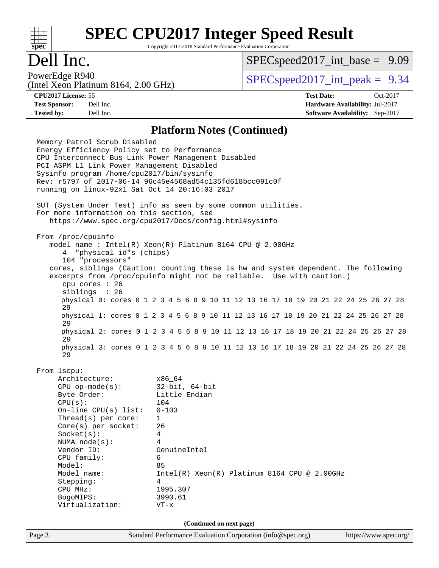#### **[SPEC CPU2017 Integer Speed Result](http://www.spec.org/auto/cpu2017/Docs/result-fields.html#SPECCPU2017IntegerSpeedResult)** Copyright 2017-2018 Standard Performance Evaluation Corporation

# Dell Inc.

**[spec](http://www.spec.org/)**

 $+\,$ H

 $SPECspeed2017\_int\_base = 9.09$ 

(Intel Xeon Platinum 8164, 2.00 GHz)

PowerEdge R940  $SPEC speed2017$  int peak = 9.34

**[CPU2017 License:](http://www.spec.org/auto/cpu2017/Docs/result-fields.html#CPU2017License)** 55 **[Test Date:](http://www.spec.org/auto/cpu2017/Docs/result-fields.html#TestDate)** Oct-2017 **[Test Sponsor:](http://www.spec.org/auto/cpu2017/Docs/result-fields.html#TestSponsor)** Dell Inc. **[Hardware Availability:](http://www.spec.org/auto/cpu2017/Docs/result-fields.html#HardwareAvailability)** Jul-2017 **[Tested by:](http://www.spec.org/auto/cpu2017/Docs/result-fields.html#Testedby)** Dell Inc. **[Software Availability:](http://www.spec.org/auto/cpu2017/Docs/result-fields.html#SoftwareAvailability)** Sep-2017

#### **[Platform Notes \(Continued\)](http://www.spec.org/auto/cpu2017/Docs/result-fields.html#PlatformNotes)**

Page 3 Standard Performance Evaluation Corporation [\(info@spec.org\)](mailto:info@spec.org) <https://www.spec.org/> Memory Patrol Scrub Disabled Energy Efficiency Policy set to Performance CPU Interconnect Bus Link Power Management Disabled PCI ASPM L1 Link Power Management Disabled Sysinfo program /home/cpu2017/bin/sysinfo Rev: r5797 of 2017-06-14 96c45e4568ad54c135fd618bcc091c0f running on linux-92x1 Sat Oct 14 20:16:03 2017 SUT (System Under Test) info as seen by some common utilities. For more information on this section, see <https://www.spec.org/cpu2017/Docs/config.html#sysinfo> From /proc/cpuinfo model name : Intel(R) Xeon(R) Platinum 8164 CPU @ 2.00GHz 4 "physical id"s (chips) 104 "processors" cores, siblings (Caution: counting these is hw and system dependent. The following excerpts from /proc/cpuinfo might not be reliable. Use with caution.) cpu cores : 26 siblings : 26 physical 0: cores 0 1 2 3 4 5 6 8 9 10 11 12 13 16 17 18 19 20 21 22 24 25 26 27 28 29 physical 1: cores 0 1 2 3 4 5 6 8 9 10 11 12 13 16 17 18 19 20 21 22 24 25 26 27 28 29 physical 2: cores 0 1 2 3 4 5 6 8 9 10 11 12 13 16 17 18 19 20 21 22 24 25 26 27 28 29 physical 3: cores 0 1 2 3 4 5 6 8 9 10 11 12 13 16 17 18 19 20 21 22 24 25 26 27 28 29 From lscpu: Architecture: x86\_64 CPU op-mode(s): 32-bit, 64-bit Byte Order: Little Endian CPU(s): 104 On-line CPU(s) list: 0-103 Thread(s) per core: 1 Core(s) per socket: 26 Socket(s): 4 NUMA node(s): 4 Vendor ID: GenuineIntel CPU family: 6 Model: 85 Model name: Intel(R) Xeon(R) Platinum 8164 CPU @ 2.00GHz Stepping: 4 CPU MHz: 1995.307 BogoMIPS: 3990.61 Virtualization: VT-x **(Continued on next page)**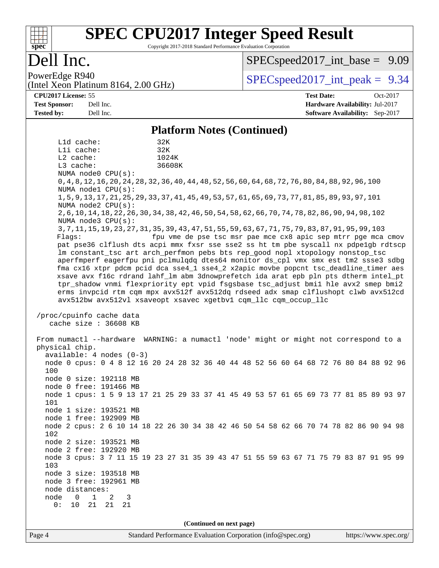#### $+\ +$ **[spec](http://www.spec.org/)**

# **[SPEC CPU2017 Integer Speed Result](http://www.spec.org/auto/cpu2017/Docs/result-fields.html#SPECCPU2017IntegerSpeedResult)**

Copyright 2017-2018 Standard Performance Evaluation Corporation

## Dell Inc.

 $SPECspeed2017\_int\_base = 9.09$ 

(Intel Xeon Platinum 8164, 2.00 GHz)

PowerEdge R940  $SPEC speed2017$  int peak = 9.34

**[CPU2017 License:](http://www.spec.org/auto/cpu2017/Docs/result-fields.html#CPU2017License)** 55 **[Test Date:](http://www.spec.org/auto/cpu2017/Docs/result-fields.html#TestDate)** Oct-2017 **[Test Sponsor:](http://www.spec.org/auto/cpu2017/Docs/result-fields.html#TestSponsor)** Dell Inc. **[Hardware Availability:](http://www.spec.org/auto/cpu2017/Docs/result-fields.html#HardwareAvailability)** Jul-2017 **[Tested by:](http://www.spec.org/auto/cpu2017/Docs/result-fields.html#Testedby)** Dell Inc. **[Software Availability:](http://www.spec.org/auto/cpu2017/Docs/result-fields.html#SoftwareAvailability)** Sep-2017

#### **[Platform Notes \(Continued\)](http://www.spec.org/auto/cpu2017/Docs/result-fields.html#PlatformNotes)**

Page 4 Standard Performance Evaluation Corporation [\(info@spec.org\)](mailto:info@spec.org) <https://www.spec.org/> L1d cache: 32K L1i cache: 32K L2 cache: 1024K L3 cache: 36608K NUMA node0 CPU(s): 0,4,8,12,16,20,24,28,32,36,40,44,48,52,56,60,64,68,72,76,80,84,88,92,96,100 NUMA node1 CPU(s): 1,5,9,13,17,21,25,29,33,37,41,45,49,53,57,61,65,69,73,77,81,85,89,93,97,101 NUMA node2 CPU(s): 2,6,10,14,18,22,26,30,34,38,42,46,50,54,58,62,66,70,74,78,82,86,90,94,98,102 NUMA node3 CPU(s): 3,7,11,15,19,23,27,31,35,39,43,47,51,55,59,63,67,71,75,79,83,87,91,95,99,103 Flags: fpu vme de pse tsc msr pae mce cx8 apic sep mtrr pge mca cmov pat pse36 clflush dts acpi mmx fxsr sse sse2 ss ht tm pbe syscall nx pdpe1gb rdtscp lm constant\_tsc art arch\_perfmon pebs bts rep\_good nopl xtopology nonstop\_tsc aperfmperf eagerfpu pni pclmulqdq dtes64 monitor ds\_cpl vmx smx est tm2 ssse3 sdbg fma cx16 xtpr pdcm pcid dca sse4\_1 sse4\_2 x2apic movbe popcnt tsc\_deadline\_timer aes xsave avx f16c rdrand lahf\_lm abm 3dnowprefetch ida arat epb pln pts dtherm intel\_pt tpr\_shadow vnmi flexpriority ept vpid fsgsbase tsc\_adjust bmi1 hle avx2 smep bmi2 erms invpcid rtm cqm mpx avx512f avx512dq rdseed adx smap clflushopt clwb avx512cd avx512bw avx512vl xsaveopt xsavec xgetbv1 cqm\_llc cqm\_occup\_llc /proc/cpuinfo cache data cache size : 36608 KB From numactl --hardware WARNING: a numactl 'node' might or might not correspond to a physical chip. available: 4 nodes (0-3) node 0 cpus: 0 4 8 12 16 20 24 28 32 36 40 44 48 52 56 60 64 68 72 76 80 84 88 92 96 100 node 0 size: 192118 MB node 0 free: 191466 MB node 1 cpus: 1 5 9 13 17 21 25 29 33 37 41 45 49 53 57 61 65 69 73 77 81 85 89 93 97 101 node 1 size: 193521 MB node 1 free: 192909 MB node 2 cpus: 2 6 10 14 18 22 26 30 34 38 42 46 50 54 58 62 66 70 74 78 82 86 90 94 98 102 node 2 size: 193521 MB node 2 free: 192920 MB node 3 cpus: 3 7 11 15 19 23 27 31 35 39 43 47 51 55 59 63 67 71 75 79 83 87 91 95 99 103 node 3 size: 193518 MB node 3 free: 192961 MB node distances: node 0 1 2 3 0: 10 21 21 21 **(Continued on next page)**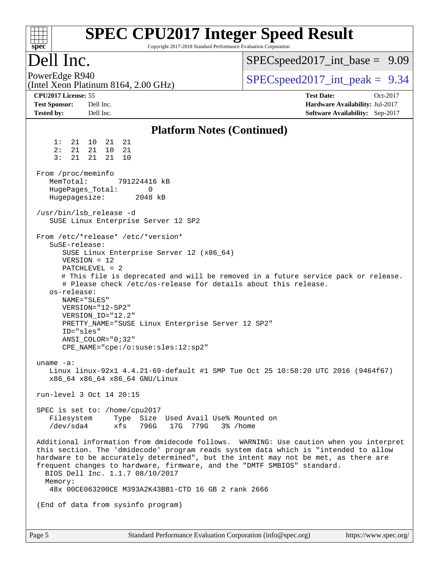| $spec^*$                                                                                                                                                                                                                                                                                                                                                                                                                                                                                                                                                                                                                            | Copyright 2017-2018 Standard Performance Evaluation Corporation   | <b>SPEC CPU2017 Integer Speed Result</b>                                                                                                                                                                                                                                                                                                                |  |  |  |  |
|-------------------------------------------------------------------------------------------------------------------------------------------------------------------------------------------------------------------------------------------------------------------------------------------------------------------------------------------------------------------------------------------------------------------------------------------------------------------------------------------------------------------------------------------------------------------------------------------------------------------------------------|-------------------------------------------------------------------|---------------------------------------------------------------------------------------------------------------------------------------------------------------------------------------------------------------------------------------------------------------------------------------------------------------------------------------------------------|--|--|--|--|
| Dell Inc.                                                                                                                                                                                                                                                                                                                                                                                                                                                                                                                                                                                                                           |                                                                   | $SPEC speed2017\_int\_base = 9.09$                                                                                                                                                                                                                                                                                                                      |  |  |  |  |
| PowerEdge R940<br>(Intel Xeon Platinum 8164, 2.00 GHz)                                                                                                                                                                                                                                                                                                                                                                                                                                                                                                                                                                              |                                                                   | $SPEC speed2017\_int\_peak = 9.34$                                                                                                                                                                                                                                                                                                                      |  |  |  |  |
| CPU2017 License: 55<br><b>Test Sponsor:</b><br>Dell Inc.<br><b>Tested by:</b><br>Dell Inc.                                                                                                                                                                                                                                                                                                                                                                                                                                                                                                                                          |                                                                   | <b>Test Date:</b><br>Oct-2017<br>Hardware Availability: Jul-2017<br>Software Availability: Sep-2017                                                                                                                                                                                                                                                     |  |  |  |  |
|                                                                                                                                                                                                                                                                                                                                                                                                                                                                                                                                                                                                                                     | <b>Platform Notes (Continued)</b>                                 |                                                                                                                                                                                                                                                                                                                                                         |  |  |  |  |
| 1:<br>21 10 21<br>21<br>2:<br>21 21 10<br>21<br>3:<br>21<br>21<br>21<br>10<br>From /proc/meminfo<br>MemTotal:<br>791224416 kB<br>HugePages_Total:<br>0<br>Hugepagesize:<br>2048 kB<br>/usr/bin/lsb release -d<br>SUSE Linux Enterprise Server 12 SP2<br>From /etc/*release* /etc/*version*<br>SuSE-release:<br>SUSE Linux Enterprise Server 12 (x86_64)<br>$VERSION = 12$<br>$PATCHLEVEL = 2$<br># Please check /etc/os-release for details about this release.<br>os-release:<br>NAME="SLES"<br>VERSION="12-SP2"<br>VERSION_ID="12.2"<br>PRETTY_NAME="SUSE Linux Enterprise Server 12 SP2"<br>ID="sles"<br>$ANSI\_COLOR = "0; 32"$ |                                                                   | # This file is deprecated and will be removed in a future service pack or release.                                                                                                                                                                                                                                                                      |  |  |  |  |
| $CPE\_NAME = "cpe://o:suse: sles:12:sp2"$<br>uname $-a$ :<br>x86 64 x86 64 x86 64 GNU/Linux<br>run-level 3 Oct 14 20:15<br>SPEC is set to: /home/cpu2017<br>Filesystem<br>/dev/sda4<br>xfs<br>frequent changes to hardware, firmware, and the "DMTF SMBIOS" standard.<br>BIOS Dell Inc. 1.1.7 08/10/2017<br>Memory:<br>48x 00CE063200CE M393A2K43BB1-CTD 16 GB 2 rank 2666<br>(End of data from sysinfo program)                                                                                                                                                                                                                    | Type Size Used Avail Use% Mounted on<br>796G 17G 779G<br>3% /home | Linux linux-92x1 4.4.21-69-default #1 SMP Tue Oct 25 10:58:20 UTC 2016 (9464f67)<br>Additional information from dmidecode follows. WARNING: Use caution when you interpret<br>this section. The 'dmidecode' program reads system data which is "intended to allow<br>hardware to be accurately determined", but the intent may not be met, as there are |  |  |  |  |
|                                                                                                                                                                                                                                                                                                                                                                                                                                                                                                                                                                                                                                     |                                                                   |                                                                                                                                                                                                                                                                                                                                                         |  |  |  |  |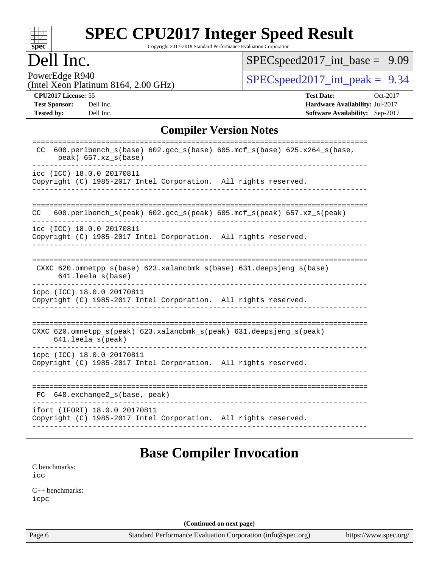| S)<br>Dе<br>Ľ |  |  |  |  |  |
|---------------|--|--|--|--|--|

Copyright 2017-2018 Standard Performance Evaluation Corporation

## Dell Inc.

[SPECspeed2017\\_int\\_base =](http://www.spec.org/auto/cpu2017/Docs/result-fields.html#SPECspeed2017intbase) 9.09

PowerEdge R940<br>(Intel Xeon Platinum 8164, 2.00 GHz)  $\big|$  [SPECspeed2017\\_int\\_peak =](http://www.spec.org/auto/cpu2017/Docs/result-fields.html#SPECspeed2017intpeak) 9.34

**[Tested by:](http://www.spec.org/auto/cpu2017/Docs/result-fields.html#Testedby)** Dell Inc. **[Software Availability:](http://www.spec.org/auto/cpu2017/Docs/result-fields.html#SoftwareAvailability)** Sep-2017

**[CPU2017 License:](http://www.spec.org/auto/cpu2017/Docs/result-fields.html#CPU2017License)** 55 **[Test Date:](http://www.spec.org/auto/cpu2017/Docs/result-fields.html#TestDate)** Oct-2017 **[Test Sponsor:](http://www.spec.org/auto/cpu2017/Docs/result-fields.html#TestSponsor)** Dell Inc. **[Hardware Availability:](http://www.spec.org/auto/cpu2017/Docs/result-fields.html#HardwareAvailability)** Jul-2017

#### **[Compiler Version Notes](http://www.spec.org/auto/cpu2017/Docs/result-fields.html#CompilerVersionNotes)**

| 600.perlbench_s(base) 602.gcc_s(base) 605.mcf_s(base) 625.x264_s(base,<br>CC.<br>$peak)$ 657.xz_s(base)                 |
|-------------------------------------------------------------------------------------------------------------------------|
| icc (ICC) 18.0.0 20170811<br>Copyright (C) 1985-2017 Intel Corporation. All rights reserved.                            |
| 600.perlbench_s(peak) 602.gcc_s(peak) 605.mcf_s(peak) 657.xz_s(peak)<br>CC.                                             |
| icc (ICC) 18.0.0 20170811<br>Copyright (C) 1985-2017 Intel Corporation. All rights reserved.                            |
| CXXC 620.omnetpp_s(base) 623.xalancbmk_s(base) 631.deepsjeng_s(base)<br>$641.$ leela_s(base)                            |
| icpc (ICC) 18.0.0 20170811<br>Copyright (C) 1985-2017 Intel Corporation. All rights reserved.                           |
| CXXC $620.\text{omnetpp_s}$ (peak) $623.\text{xalancbmk_s}$ (peak) $631.\text{deepsjeng_s}$ (peak)<br>641.leela_s(peak) |
| icpc (ICC) 18.0.0 20170811<br>Copyright (C) 1985-2017 Intel Corporation. All rights reserved.                           |
| FC 648.exchange2_s(base, peak)                                                                                          |
| ifort (IFORT) 18.0.0 20170811<br>Copyright (C) 1985-2017 Intel Corporation. All rights reserved.                        |

### **[Base Compiler Invocation](http://www.spec.org/auto/cpu2017/Docs/result-fields.html#BaseCompilerInvocation)**

[C benchmarks](http://www.spec.org/auto/cpu2017/Docs/result-fields.html#Cbenchmarks): [icc](http://www.spec.org/cpu2017/results/res2017q4/cpu2017-20171030-00249.flags.html#user_CCbase_intel_icc_18.0_66fc1ee009f7361af1fbd72ca7dcefbb700085f36577c54f309893dd4ec40d12360134090235512931783d35fd58c0460139e722d5067c5574d8eaf2b3e37e92)

[C++ benchmarks:](http://www.spec.org/auto/cpu2017/Docs/result-fields.html#CXXbenchmarks) [icpc](http://www.spec.org/cpu2017/results/res2017q4/cpu2017-20171030-00249.flags.html#user_CXXbase_intel_icpc_18.0_c510b6838c7f56d33e37e94d029a35b4a7bccf4766a728ee175e80a419847e808290a9b78be685c44ab727ea267ec2f070ec5dc83b407c0218cded6866a35d07)

**(Continued on next page)**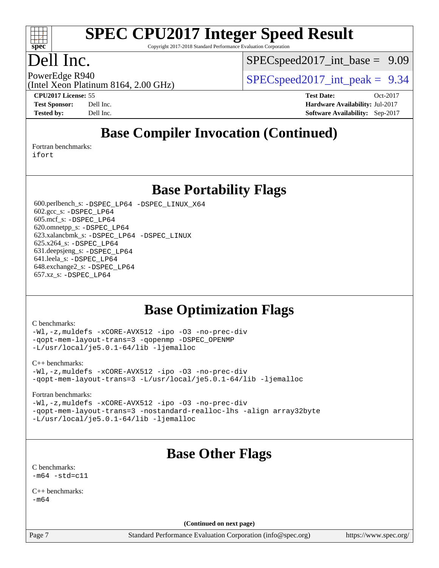

Copyright 2017-2018 Standard Performance Evaluation Corporation

## Dell Inc.

 $SPECspeed2017\_int\_base = 9.09$ 

(Intel Xeon Platinum 8164, 2.00 GHz)

PowerEdge R940  $SPEC speed2017$  int peak = 9.34

**[CPU2017 License:](http://www.spec.org/auto/cpu2017/Docs/result-fields.html#CPU2017License)** 55 **[Test Date:](http://www.spec.org/auto/cpu2017/Docs/result-fields.html#TestDate)** Oct-2017 **[Test Sponsor:](http://www.spec.org/auto/cpu2017/Docs/result-fields.html#TestSponsor)** Dell Inc. **[Hardware Availability:](http://www.spec.org/auto/cpu2017/Docs/result-fields.html#HardwareAvailability)** Jul-2017 **[Tested by:](http://www.spec.org/auto/cpu2017/Docs/result-fields.html#Testedby)** Dell Inc. **[Software Availability:](http://www.spec.org/auto/cpu2017/Docs/result-fields.html#SoftwareAvailability)** Sep-2017

## **[Base Compiler Invocation \(Continued\)](http://www.spec.org/auto/cpu2017/Docs/result-fields.html#BaseCompilerInvocation)**

[Fortran benchmarks](http://www.spec.org/auto/cpu2017/Docs/result-fields.html#Fortranbenchmarks):

[ifort](http://www.spec.org/cpu2017/results/res2017q4/cpu2017-20171030-00249.flags.html#user_FCbase_intel_ifort_18.0_8111460550e3ca792625aed983ce982f94888b8b503583aa7ba2b8303487b4d8a21a13e7191a45c5fd58ff318f48f9492884d4413fa793fd88dd292cad7027ca)

**[Base Portability Flags](http://www.spec.org/auto/cpu2017/Docs/result-fields.html#BasePortabilityFlags)**

 600.perlbench\_s: [-DSPEC\\_LP64](http://www.spec.org/cpu2017/results/res2017q4/cpu2017-20171030-00249.flags.html#b600.perlbench_s_basePORTABILITY_DSPEC_LP64) [-DSPEC\\_LINUX\\_X64](http://www.spec.org/cpu2017/results/res2017q4/cpu2017-20171030-00249.flags.html#b600.perlbench_s_baseCPORTABILITY_DSPEC_LINUX_X64) 602.gcc\_s: [-DSPEC\\_LP64](http://www.spec.org/cpu2017/results/res2017q4/cpu2017-20171030-00249.flags.html#suite_basePORTABILITY602_gcc_s_DSPEC_LP64) 605.mcf\_s: [-DSPEC\\_LP64](http://www.spec.org/cpu2017/results/res2017q4/cpu2017-20171030-00249.flags.html#suite_basePORTABILITY605_mcf_s_DSPEC_LP64) 620.omnetpp\_s: [-DSPEC\\_LP64](http://www.spec.org/cpu2017/results/res2017q4/cpu2017-20171030-00249.flags.html#suite_basePORTABILITY620_omnetpp_s_DSPEC_LP64) 623.xalancbmk\_s: [-DSPEC\\_LP64](http://www.spec.org/cpu2017/results/res2017q4/cpu2017-20171030-00249.flags.html#suite_basePORTABILITY623_xalancbmk_s_DSPEC_LP64) [-DSPEC\\_LINUX](http://www.spec.org/cpu2017/results/res2017q4/cpu2017-20171030-00249.flags.html#b623.xalancbmk_s_baseCXXPORTABILITY_DSPEC_LINUX) 625.x264\_s: [-DSPEC\\_LP64](http://www.spec.org/cpu2017/results/res2017q4/cpu2017-20171030-00249.flags.html#suite_basePORTABILITY625_x264_s_DSPEC_LP64) 631.deepsjeng\_s: [-DSPEC\\_LP64](http://www.spec.org/cpu2017/results/res2017q4/cpu2017-20171030-00249.flags.html#suite_basePORTABILITY631_deepsjeng_s_DSPEC_LP64) 641.leela\_s: [-DSPEC\\_LP64](http://www.spec.org/cpu2017/results/res2017q4/cpu2017-20171030-00249.flags.html#suite_basePORTABILITY641_leela_s_DSPEC_LP64) 648.exchange2\_s: [-DSPEC\\_LP64](http://www.spec.org/cpu2017/results/res2017q4/cpu2017-20171030-00249.flags.html#suite_basePORTABILITY648_exchange2_s_DSPEC_LP64) 657.xz\_s: [-DSPEC\\_LP64](http://www.spec.org/cpu2017/results/res2017q4/cpu2017-20171030-00249.flags.html#suite_basePORTABILITY657_xz_s_DSPEC_LP64)

### **[Base Optimization Flags](http://www.spec.org/auto/cpu2017/Docs/result-fields.html#BaseOptimizationFlags)**

#### [C benchmarks](http://www.spec.org/auto/cpu2017/Docs/result-fields.html#Cbenchmarks):

[-Wl,-z,muldefs](http://www.spec.org/cpu2017/results/res2017q4/cpu2017-20171030-00249.flags.html#user_CCbase_link_force_multiple1_b4cbdb97b34bdee9ceefcfe54f4c8ea74255f0b02a4b23e853cdb0e18eb4525ac79b5a88067c842dd0ee6996c24547a27a4b99331201badda8798ef8a743f577) [-xCORE-AVX512](http://www.spec.org/cpu2017/results/res2017q4/cpu2017-20171030-00249.flags.html#user_CCbase_f-xCORE-AVX512) [-ipo](http://www.spec.org/cpu2017/results/res2017q4/cpu2017-20171030-00249.flags.html#user_CCbase_f-ipo) [-O3](http://www.spec.org/cpu2017/results/res2017q4/cpu2017-20171030-00249.flags.html#user_CCbase_f-O3) [-no-prec-div](http://www.spec.org/cpu2017/results/res2017q4/cpu2017-20171030-00249.flags.html#user_CCbase_f-no-prec-div) [-qopt-mem-layout-trans=3](http://www.spec.org/cpu2017/results/res2017q4/cpu2017-20171030-00249.flags.html#user_CCbase_f-qopt-mem-layout-trans_de80db37974c74b1f0e20d883f0b675c88c3b01e9d123adea9b28688d64333345fb62bc4a798493513fdb68f60282f9a726aa07f478b2f7113531aecce732043) [-qopenmp](http://www.spec.org/cpu2017/results/res2017q4/cpu2017-20171030-00249.flags.html#user_CCbase_qopenmp_16be0c44f24f464004c6784a7acb94aca937f053568ce72f94b139a11c7c168634a55f6653758ddd83bcf7b8463e8028bb0b48b77bcddc6b78d5d95bb1df2967) [-DSPEC\\_OPENMP](http://www.spec.org/cpu2017/results/res2017q4/cpu2017-20171030-00249.flags.html#suite_CCbase_DSPEC_OPENMP) [-L/usr/local/je5.0.1-64/lib](http://www.spec.org/cpu2017/results/res2017q4/cpu2017-20171030-00249.flags.html#user_CCbase_jemalloc_link_path64_4b10a636b7bce113509b17f3bd0d6226c5fb2346b9178c2d0232c14f04ab830f976640479e5c33dc2bcbbdad86ecfb6634cbbd4418746f06f368b512fced5394) [-ljemalloc](http://www.spec.org/cpu2017/results/res2017q4/cpu2017-20171030-00249.flags.html#user_CCbase_jemalloc_link_lib_d1249b907c500fa1c0672f44f562e3d0f79738ae9e3c4a9c376d49f265a04b9c99b167ecedbf6711b3085be911c67ff61f150a17b3472be731631ba4d0471706)

#### [C++ benchmarks:](http://www.spec.org/auto/cpu2017/Docs/result-fields.html#CXXbenchmarks)

[-Wl,-z,muldefs](http://www.spec.org/cpu2017/results/res2017q4/cpu2017-20171030-00249.flags.html#user_CXXbase_link_force_multiple1_b4cbdb97b34bdee9ceefcfe54f4c8ea74255f0b02a4b23e853cdb0e18eb4525ac79b5a88067c842dd0ee6996c24547a27a4b99331201badda8798ef8a743f577) [-xCORE-AVX512](http://www.spec.org/cpu2017/results/res2017q4/cpu2017-20171030-00249.flags.html#user_CXXbase_f-xCORE-AVX512) [-ipo](http://www.spec.org/cpu2017/results/res2017q4/cpu2017-20171030-00249.flags.html#user_CXXbase_f-ipo) [-O3](http://www.spec.org/cpu2017/results/res2017q4/cpu2017-20171030-00249.flags.html#user_CXXbase_f-O3) [-no-prec-div](http://www.spec.org/cpu2017/results/res2017q4/cpu2017-20171030-00249.flags.html#user_CXXbase_f-no-prec-div) [-qopt-mem-layout-trans=3](http://www.spec.org/cpu2017/results/res2017q4/cpu2017-20171030-00249.flags.html#user_CXXbase_f-qopt-mem-layout-trans_de80db37974c74b1f0e20d883f0b675c88c3b01e9d123adea9b28688d64333345fb62bc4a798493513fdb68f60282f9a726aa07f478b2f7113531aecce732043) [-L/usr/local/je5.0.1-64/lib](http://www.spec.org/cpu2017/results/res2017q4/cpu2017-20171030-00249.flags.html#user_CXXbase_jemalloc_link_path64_4b10a636b7bce113509b17f3bd0d6226c5fb2346b9178c2d0232c14f04ab830f976640479e5c33dc2bcbbdad86ecfb6634cbbd4418746f06f368b512fced5394) [-ljemalloc](http://www.spec.org/cpu2017/results/res2017q4/cpu2017-20171030-00249.flags.html#user_CXXbase_jemalloc_link_lib_d1249b907c500fa1c0672f44f562e3d0f79738ae9e3c4a9c376d49f265a04b9c99b167ecedbf6711b3085be911c67ff61f150a17b3472be731631ba4d0471706)

#### [Fortran benchmarks](http://www.spec.org/auto/cpu2017/Docs/result-fields.html#Fortranbenchmarks):

[-Wl,-z,muldefs](http://www.spec.org/cpu2017/results/res2017q4/cpu2017-20171030-00249.flags.html#user_FCbase_link_force_multiple1_b4cbdb97b34bdee9ceefcfe54f4c8ea74255f0b02a4b23e853cdb0e18eb4525ac79b5a88067c842dd0ee6996c24547a27a4b99331201badda8798ef8a743f577) [-xCORE-AVX512](http://www.spec.org/cpu2017/results/res2017q4/cpu2017-20171030-00249.flags.html#user_FCbase_f-xCORE-AVX512) [-ipo](http://www.spec.org/cpu2017/results/res2017q4/cpu2017-20171030-00249.flags.html#user_FCbase_f-ipo) [-O3](http://www.spec.org/cpu2017/results/res2017q4/cpu2017-20171030-00249.flags.html#user_FCbase_f-O3) [-no-prec-div](http://www.spec.org/cpu2017/results/res2017q4/cpu2017-20171030-00249.flags.html#user_FCbase_f-no-prec-div) [-qopt-mem-layout-trans=3](http://www.spec.org/cpu2017/results/res2017q4/cpu2017-20171030-00249.flags.html#user_FCbase_f-qopt-mem-layout-trans_de80db37974c74b1f0e20d883f0b675c88c3b01e9d123adea9b28688d64333345fb62bc4a798493513fdb68f60282f9a726aa07f478b2f7113531aecce732043) [-nostandard-realloc-lhs](http://www.spec.org/cpu2017/results/res2017q4/cpu2017-20171030-00249.flags.html#user_FCbase_f_2003_std_realloc_82b4557e90729c0f113870c07e44d33d6f5a304b4f63d4c15d2d0f1fab99f5daaed73bdb9275d9ae411527f28b936061aa8b9c8f2d63842963b95c9dd6426b8a) [-align array32byte](http://www.spec.org/cpu2017/results/res2017q4/cpu2017-20171030-00249.flags.html#user_FCbase_align_array32byte_b982fe038af199962ba9a80c053b8342c548c85b40b8e86eb3cc33dee0d7986a4af373ac2d51c3f7cf710a18d62fdce2948f201cd044323541f22fc0fffc51b6) [-L/usr/local/je5.0.1-64/lib](http://www.spec.org/cpu2017/results/res2017q4/cpu2017-20171030-00249.flags.html#user_FCbase_jemalloc_link_path64_4b10a636b7bce113509b17f3bd0d6226c5fb2346b9178c2d0232c14f04ab830f976640479e5c33dc2bcbbdad86ecfb6634cbbd4418746f06f368b512fced5394) [-ljemalloc](http://www.spec.org/cpu2017/results/res2017q4/cpu2017-20171030-00249.flags.html#user_FCbase_jemalloc_link_lib_d1249b907c500fa1c0672f44f562e3d0f79738ae9e3c4a9c376d49f265a04b9c99b167ecedbf6711b3085be911c67ff61f150a17b3472be731631ba4d0471706)

# **[Base Other Flags](http://www.spec.org/auto/cpu2017/Docs/result-fields.html#BaseOtherFlags)**

[C benchmarks](http://www.spec.org/auto/cpu2017/Docs/result-fields.html#Cbenchmarks):  $-m64 - std= c11$  $-m64 - std= c11$ 

 $C_{++}$  benchmarks: [-m64](http://www.spec.org/cpu2017/results/res2017q4/cpu2017-20171030-00249.flags.html#user_CXXbase_intel_intel64_18.0_af43caccfc8ded86e7699f2159af6efc7655f51387b94da716254467f3c01020a5059329e2569e4053f409e7c9202a7efc638f7a6d1ffb3f52dea4a3e31d82ab)

**(Continued on next page)**

Page 7 Standard Performance Evaluation Corporation [\(info@spec.org\)](mailto:info@spec.org) <https://www.spec.org/>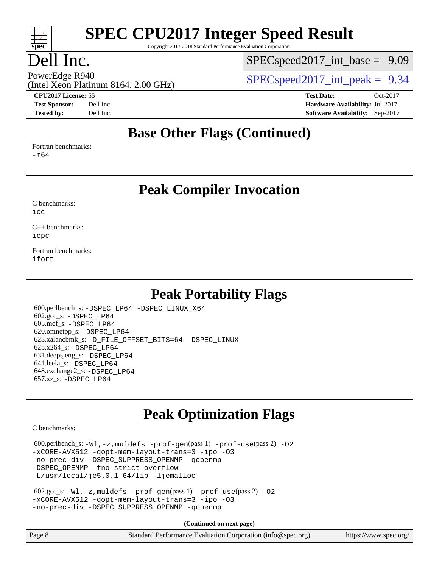

Copyright 2017-2018 Standard Performance Evaluation Corporation

# Dell Inc.

 $SPECspeed2017\_int\_base = 9.09$ 

(Intel Xeon Platinum 8164, 2.00 GHz)

**[CPU2017 License:](http://www.spec.org/auto/cpu2017/Docs/result-fields.html#CPU2017License)** 55 **[Test Date:](http://www.spec.org/auto/cpu2017/Docs/result-fields.html#TestDate)** Oct-2017

PowerEdge R940<br>  $SPEC speed2017$  int peak = 9.34

**[Test Sponsor:](http://www.spec.org/auto/cpu2017/Docs/result-fields.html#TestSponsor)** Dell Inc. **[Hardware Availability:](http://www.spec.org/auto/cpu2017/Docs/result-fields.html#HardwareAvailability)** Jul-2017 **[Tested by:](http://www.spec.org/auto/cpu2017/Docs/result-fields.html#Testedby)** Dell Inc. **[Software Availability:](http://www.spec.org/auto/cpu2017/Docs/result-fields.html#SoftwareAvailability)** Sep-2017

#### **[Base Other Flags \(Continued\)](http://www.spec.org/auto/cpu2017/Docs/result-fields.html#BaseOtherFlags)**

[Fortran benchmarks](http://www.spec.org/auto/cpu2017/Docs/result-fields.html#Fortranbenchmarks):

[-m64](http://www.spec.org/cpu2017/results/res2017q4/cpu2017-20171030-00249.flags.html#user_FCbase_intel_intel64_18.0_af43caccfc8ded86e7699f2159af6efc7655f51387b94da716254467f3c01020a5059329e2569e4053f409e7c9202a7efc638f7a6d1ffb3f52dea4a3e31d82ab)

**[Peak Compiler Invocation](http://www.spec.org/auto/cpu2017/Docs/result-fields.html#PeakCompilerInvocation)**

[C benchmarks](http://www.spec.org/auto/cpu2017/Docs/result-fields.html#Cbenchmarks): [icc](http://www.spec.org/cpu2017/results/res2017q4/cpu2017-20171030-00249.flags.html#user_CCpeak_intel_icc_18.0_66fc1ee009f7361af1fbd72ca7dcefbb700085f36577c54f309893dd4ec40d12360134090235512931783d35fd58c0460139e722d5067c5574d8eaf2b3e37e92)

[C++ benchmarks:](http://www.spec.org/auto/cpu2017/Docs/result-fields.html#CXXbenchmarks) [icpc](http://www.spec.org/cpu2017/results/res2017q4/cpu2017-20171030-00249.flags.html#user_CXXpeak_intel_icpc_18.0_c510b6838c7f56d33e37e94d029a35b4a7bccf4766a728ee175e80a419847e808290a9b78be685c44ab727ea267ec2f070ec5dc83b407c0218cded6866a35d07)

[Fortran benchmarks](http://www.spec.org/auto/cpu2017/Docs/result-fields.html#Fortranbenchmarks): [ifort](http://www.spec.org/cpu2017/results/res2017q4/cpu2017-20171030-00249.flags.html#user_FCpeak_intel_ifort_18.0_8111460550e3ca792625aed983ce982f94888b8b503583aa7ba2b8303487b4d8a21a13e7191a45c5fd58ff318f48f9492884d4413fa793fd88dd292cad7027ca)

## **[Peak Portability Flags](http://www.spec.org/auto/cpu2017/Docs/result-fields.html#PeakPortabilityFlags)**

 600.perlbench\_s: [-DSPEC\\_LP64](http://www.spec.org/cpu2017/results/res2017q4/cpu2017-20171030-00249.flags.html#b600.perlbench_s_peakPORTABILITY_DSPEC_LP64) [-DSPEC\\_LINUX\\_X64](http://www.spec.org/cpu2017/results/res2017q4/cpu2017-20171030-00249.flags.html#b600.perlbench_s_peakCPORTABILITY_DSPEC_LINUX_X64) 602.gcc\_s: [-DSPEC\\_LP64](http://www.spec.org/cpu2017/results/res2017q4/cpu2017-20171030-00249.flags.html#suite_peakPORTABILITY602_gcc_s_DSPEC_LP64) 605.mcf\_s: [-DSPEC\\_LP64](http://www.spec.org/cpu2017/results/res2017q4/cpu2017-20171030-00249.flags.html#suite_peakPORTABILITY605_mcf_s_DSPEC_LP64) 620.omnetpp\_s: [-DSPEC\\_LP64](http://www.spec.org/cpu2017/results/res2017q4/cpu2017-20171030-00249.flags.html#suite_peakPORTABILITY620_omnetpp_s_DSPEC_LP64) 623.xalancbmk\_s: [-D\\_FILE\\_OFFSET\\_BITS=64](http://www.spec.org/cpu2017/results/res2017q4/cpu2017-20171030-00249.flags.html#user_peakPORTABILITY623_xalancbmk_s_file_offset_bits_64_5ae949a99b284ddf4e95728d47cb0843d81b2eb0e18bdfe74bbf0f61d0b064f4bda2f10ea5eb90e1dcab0e84dbc592acfc5018bc955c18609f94ddb8d550002c) [-DSPEC\\_LINUX](http://www.spec.org/cpu2017/results/res2017q4/cpu2017-20171030-00249.flags.html#b623.xalancbmk_s_peakCXXPORTABILITY_DSPEC_LINUX) 625.x264\_s: [-DSPEC\\_LP64](http://www.spec.org/cpu2017/results/res2017q4/cpu2017-20171030-00249.flags.html#suite_peakPORTABILITY625_x264_s_DSPEC_LP64) 631.deepsjeng\_s: [-DSPEC\\_LP64](http://www.spec.org/cpu2017/results/res2017q4/cpu2017-20171030-00249.flags.html#suite_peakPORTABILITY631_deepsjeng_s_DSPEC_LP64) 641.leela\_s: [-DSPEC\\_LP64](http://www.spec.org/cpu2017/results/res2017q4/cpu2017-20171030-00249.flags.html#suite_peakPORTABILITY641_leela_s_DSPEC_LP64) 648.exchange2\_s: [-DSPEC\\_LP64](http://www.spec.org/cpu2017/results/res2017q4/cpu2017-20171030-00249.flags.html#suite_peakPORTABILITY648_exchange2_s_DSPEC_LP64) 657.xz\_s: [-DSPEC\\_LP64](http://www.spec.org/cpu2017/results/res2017q4/cpu2017-20171030-00249.flags.html#suite_peakPORTABILITY657_xz_s_DSPEC_LP64)

# **[Peak Optimization Flags](http://www.spec.org/auto/cpu2017/Docs/result-fields.html#PeakOptimizationFlags)**

[C benchmarks](http://www.spec.org/auto/cpu2017/Docs/result-fields.html#Cbenchmarks):

 $600.$ perlbench\_s:  $-W1$ ,  $-z$ , muldefs  $-prof-gen(pass 1)$  $-prof-gen(pass 1)$  [-prof-use](http://www.spec.org/cpu2017/results/res2017q4/cpu2017-20171030-00249.flags.html#user_peakPASS2_CFLAGSPASS2_LDFLAGS600_perlbench_s_prof_use_1a21ceae95f36a2b53c25747139a6c16ca95bd9def2a207b4f0849963b97e94f5260e30a0c64f4bb623698870e679ca08317ef8150905d41bd88c6f78df73f19)(pass 2) -02 [-xCORE-AVX512](http://www.spec.org/cpu2017/results/res2017q4/cpu2017-20171030-00249.flags.html#user_peakPASS2_COPTIMIZE600_perlbench_s_f-xCORE-AVX512) [-qopt-mem-layout-trans=3](http://www.spec.org/cpu2017/results/res2017q4/cpu2017-20171030-00249.flags.html#user_peakPASS1_COPTIMIZEPASS2_COPTIMIZE600_perlbench_s_f-qopt-mem-layout-trans_de80db37974c74b1f0e20d883f0b675c88c3b01e9d123adea9b28688d64333345fb62bc4a798493513fdb68f60282f9a726aa07f478b2f7113531aecce732043) [-ipo](http://www.spec.org/cpu2017/results/res2017q4/cpu2017-20171030-00249.flags.html#user_peakPASS2_COPTIMIZE600_perlbench_s_f-ipo) [-O3](http://www.spec.org/cpu2017/results/res2017q4/cpu2017-20171030-00249.flags.html#user_peakPASS2_COPTIMIZE600_perlbench_s_f-O3) [-no-prec-div](http://www.spec.org/cpu2017/results/res2017q4/cpu2017-20171030-00249.flags.html#user_peakPASS2_COPTIMIZE600_perlbench_s_f-no-prec-div) [-DSPEC\\_SUPPRESS\\_OPENMP](http://www.spec.org/cpu2017/results/res2017q4/cpu2017-20171030-00249.flags.html#suite_peakPASS1_COPTIMIZE600_perlbench_s_DSPEC_SUPPRESS_OPENMP) [-qopenmp](http://www.spec.org/cpu2017/results/res2017q4/cpu2017-20171030-00249.flags.html#user_peakPASS2_COPTIMIZE600_perlbench_s_qopenmp_16be0c44f24f464004c6784a7acb94aca937f053568ce72f94b139a11c7c168634a55f6653758ddd83bcf7b8463e8028bb0b48b77bcddc6b78d5d95bb1df2967) -DSPEC OPENMP [-fno-strict-overflow](http://www.spec.org/cpu2017/results/res2017q4/cpu2017-20171030-00249.flags.html#user_peakEXTRA_OPTIMIZE600_perlbench_s_f-fno-strict-overflow) [-L/usr/local/je5.0.1-64/lib](http://www.spec.org/cpu2017/results/res2017q4/cpu2017-20171030-00249.flags.html#user_peakEXTRA_LIBS600_perlbench_s_jemalloc_link_path64_4b10a636b7bce113509b17f3bd0d6226c5fb2346b9178c2d0232c14f04ab830f976640479e5c33dc2bcbbdad86ecfb6634cbbd4418746f06f368b512fced5394) [-ljemalloc](http://www.spec.org/cpu2017/results/res2017q4/cpu2017-20171030-00249.flags.html#user_peakEXTRA_LIBS600_perlbench_s_jemalloc_link_lib_d1249b907c500fa1c0672f44f562e3d0f79738ae9e3c4a9c376d49f265a04b9c99b167ecedbf6711b3085be911c67ff61f150a17b3472be731631ba4d0471706)

```
 602.gcc_s: -Wl,-z,muldefs -prof-gen(pass 1) -prof-use(pass 2) -O2
-xCORE-AVX512 -qopt-mem-layout-trans=3 -ipo -O3
-no-prec-div -DSPEC_SUPPRESS_OPENMP -qopenmp
```
**(Continued on next page)**

| Page 8 | Standard Performance Evaluation Corporation (info@spec.org) | https://www.spec.org/ |
|--------|-------------------------------------------------------------|-----------------------|
|--------|-------------------------------------------------------------|-----------------------|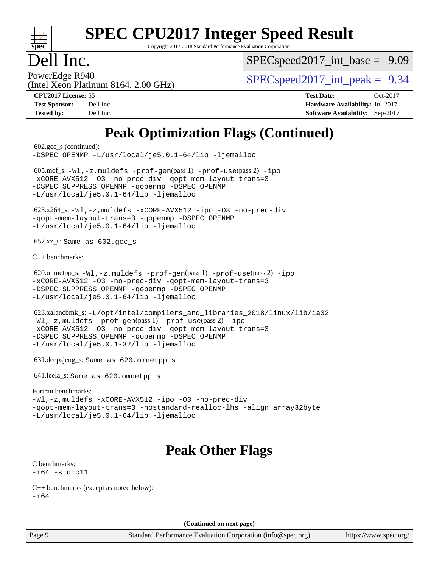

Copyright 2017-2018 Standard Performance Evaluation Corporation

## Dell Inc.

[SPECspeed2017\\_int\\_base =](http://www.spec.org/auto/cpu2017/Docs/result-fields.html#SPECspeed2017intbase) 9.09

(Intel Xeon Platinum 8164, 2.00 GHz)

PowerEdge R940<br>  $SPEC speed2017$  int peak = 9.34

**[CPU2017 License:](http://www.spec.org/auto/cpu2017/Docs/result-fields.html#CPU2017License)** 55 **[Test Date:](http://www.spec.org/auto/cpu2017/Docs/result-fields.html#TestDate)** Oct-2017 **[Test Sponsor:](http://www.spec.org/auto/cpu2017/Docs/result-fields.html#TestSponsor)** Dell Inc. **[Hardware Availability:](http://www.spec.org/auto/cpu2017/Docs/result-fields.html#HardwareAvailability)** Jul-2017 **[Tested by:](http://www.spec.org/auto/cpu2017/Docs/result-fields.html#Testedby)** Dell Inc. **[Software Availability:](http://www.spec.org/auto/cpu2017/Docs/result-fields.html#SoftwareAvailability)** Sep-2017

# **[Peak Optimization Flags \(Continued\)](http://www.spec.org/auto/cpu2017/Docs/result-fields.html#PeakOptimizationFlags)**

 602.gcc\_s (continued): [-DSPEC\\_OPENMP](http://www.spec.org/cpu2017/results/res2017q4/cpu2017-20171030-00249.flags.html#suite_peakPASS2_COPTIMIZE602_gcc_s_DSPEC_OPENMP) [-L/usr/local/je5.0.1-64/lib](http://www.spec.org/cpu2017/results/res2017q4/cpu2017-20171030-00249.flags.html#user_peakEXTRA_LIBS602_gcc_s_jemalloc_link_path64_4b10a636b7bce113509b17f3bd0d6226c5fb2346b9178c2d0232c14f04ab830f976640479e5c33dc2bcbbdad86ecfb6634cbbd4418746f06f368b512fced5394) [-ljemalloc](http://www.spec.org/cpu2017/results/res2017q4/cpu2017-20171030-00249.flags.html#user_peakEXTRA_LIBS602_gcc_s_jemalloc_link_lib_d1249b907c500fa1c0672f44f562e3d0f79738ae9e3c4a9c376d49f265a04b9c99b167ecedbf6711b3085be911c67ff61f150a17b3472be731631ba4d0471706) 605.mcf\_s: [-Wl,-z,muldefs](http://www.spec.org/cpu2017/results/res2017q4/cpu2017-20171030-00249.flags.html#user_peakEXTRA_LDFLAGS605_mcf_s_link_force_multiple1_b4cbdb97b34bdee9ceefcfe54f4c8ea74255f0b02a4b23e853cdb0e18eb4525ac79b5a88067c842dd0ee6996c24547a27a4b99331201badda8798ef8a743f577) [-prof-gen](http://www.spec.org/cpu2017/results/res2017q4/cpu2017-20171030-00249.flags.html#user_peakPASS1_CFLAGSPASS1_LDFLAGS605_mcf_s_prof_gen_5aa4926d6013ddb2a31985c654b3eb18169fc0c6952a63635c234f711e6e63dd76e94ad52365559451ec499a2cdb89e4dc58ba4c67ef54ca681ffbe1461d6b36)(pass 1) [-prof-use](http://www.spec.org/cpu2017/results/res2017q4/cpu2017-20171030-00249.flags.html#user_peakPASS2_CFLAGSPASS2_LDFLAGS605_mcf_s_prof_use_1a21ceae95f36a2b53c25747139a6c16ca95bd9def2a207b4f0849963b97e94f5260e30a0c64f4bb623698870e679ca08317ef8150905d41bd88c6f78df73f19)(pass 2) [-ipo](http://www.spec.org/cpu2017/results/res2017q4/cpu2017-20171030-00249.flags.html#user_peakPASS1_COPTIMIZEPASS2_COPTIMIZE605_mcf_s_f-ipo) [-xCORE-AVX512](http://www.spec.org/cpu2017/results/res2017q4/cpu2017-20171030-00249.flags.html#user_peakPASS2_COPTIMIZE605_mcf_s_f-xCORE-AVX512) [-O3](http://www.spec.org/cpu2017/results/res2017q4/cpu2017-20171030-00249.flags.html#user_peakPASS1_COPTIMIZEPASS2_COPTIMIZE605_mcf_s_f-O3) [-no-prec-div](http://www.spec.org/cpu2017/results/res2017q4/cpu2017-20171030-00249.flags.html#user_peakPASS1_COPTIMIZEPASS2_COPTIMIZE605_mcf_s_f-no-prec-div) [-qopt-mem-layout-trans=3](http://www.spec.org/cpu2017/results/res2017q4/cpu2017-20171030-00249.flags.html#user_peakPASS1_COPTIMIZEPASS2_COPTIMIZE605_mcf_s_f-qopt-mem-layout-trans_de80db37974c74b1f0e20d883f0b675c88c3b01e9d123adea9b28688d64333345fb62bc4a798493513fdb68f60282f9a726aa07f478b2f7113531aecce732043) -DSPEC SUPPRESS OPENMP [-qopenmp](http://www.spec.org/cpu2017/results/res2017q4/cpu2017-20171030-00249.flags.html#user_peakPASS2_COPTIMIZE605_mcf_s_qopenmp_16be0c44f24f464004c6784a7acb94aca937f053568ce72f94b139a11c7c168634a55f6653758ddd83bcf7b8463e8028bb0b48b77bcddc6b78d5d95bb1df2967) -DSPEC OPENMP [-L/usr/local/je5.0.1-64/lib](http://www.spec.org/cpu2017/results/res2017q4/cpu2017-20171030-00249.flags.html#user_peakEXTRA_LIBS605_mcf_s_jemalloc_link_path64_4b10a636b7bce113509b17f3bd0d6226c5fb2346b9178c2d0232c14f04ab830f976640479e5c33dc2bcbbdad86ecfb6634cbbd4418746f06f368b512fced5394) [-ljemalloc](http://www.spec.org/cpu2017/results/res2017q4/cpu2017-20171030-00249.flags.html#user_peakEXTRA_LIBS605_mcf_s_jemalloc_link_lib_d1249b907c500fa1c0672f44f562e3d0f79738ae9e3c4a9c376d49f265a04b9c99b167ecedbf6711b3085be911c67ff61f150a17b3472be731631ba4d0471706) 625.x264\_s: [-Wl,-z,muldefs](http://www.spec.org/cpu2017/results/res2017q4/cpu2017-20171030-00249.flags.html#user_peakEXTRA_LDFLAGS625_x264_s_link_force_multiple1_b4cbdb97b34bdee9ceefcfe54f4c8ea74255f0b02a4b23e853cdb0e18eb4525ac79b5a88067c842dd0ee6996c24547a27a4b99331201badda8798ef8a743f577) [-xCORE-AVX512](http://www.spec.org/cpu2017/results/res2017q4/cpu2017-20171030-00249.flags.html#user_peakCOPTIMIZE625_x264_s_f-xCORE-AVX512) [-ipo](http://www.spec.org/cpu2017/results/res2017q4/cpu2017-20171030-00249.flags.html#user_peakCOPTIMIZE625_x264_s_f-ipo) [-O3](http://www.spec.org/cpu2017/results/res2017q4/cpu2017-20171030-00249.flags.html#user_peakCOPTIMIZE625_x264_s_f-O3) [-no-prec-div](http://www.spec.org/cpu2017/results/res2017q4/cpu2017-20171030-00249.flags.html#user_peakCOPTIMIZE625_x264_s_f-no-prec-div) [-qopt-mem-layout-trans=3](http://www.spec.org/cpu2017/results/res2017q4/cpu2017-20171030-00249.flags.html#user_peakCOPTIMIZE625_x264_s_f-qopt-mem-layout-trans_de80db37974c74b1f0e20d883f0b675c88c3b01e9d123adea9b28688d64333345fb62bc4a798493513fdb68f60282f9a726aa07f478b2f7113531aecce732043) [-qopenmp](http://www.spec.org/cpu2017/results/res2017q4/cpu2017-20171030-00249.flags.html#user_peakCOPTIMIZE625_x264_s_qopenmp_16be0c44f24f464004c6784a7acb94aca937f053568ce72f94b139a11c7c168634a55f6653758ddd83bcf7b8463e8028bb0b48b77bcddc6b78d5d95bb1df2967) [-DSPEC\\_OPENMP](http://www.spec.org/cpu2017/results/res2017q4/cpu2017-20171030-00249.flags.html#suite_peakCOPTIMIZE625_x264_s_DSPEC_OPENMP) [-L/usr/local/je5.0.1-64/lib](http://www.spec.org/cpu2017/results/res2017q4/cpu2017-20171030-00249.flags.html#user_peakEXTRA_LIBS625_x264_s_jemalloc_link_path64_4b10a636b7bce113509b17f3bd0d6226c5fb2346b9178c2d0232c14f04ab830f976640479e5c33dc2bcbbdad86ecfb6634cbbd4418746f06f368b512fced5394) [-ljemalloc](http://www.spec.org/cpu2017/results/res2017q4/cpu2017-20171030-00249.flags.html#user_peakEXTRA_LIBS625_x264_s_jemalloc_link_lib_d1249b907c500fa1c0672f44f562e3d0f79738ae9e3c4a9c376d49f265a04b9c99b167ecedbf6711b3085be911c67ff61f150a17b3472be731631ba4d0471706) 657.xz\_s: Same as 602.gcc\_s [C++ benchmarks:](http://www.spec.org/auto/cpu2017/Docs/result-fields.html#CXXbenchmarks) 620.omnetpp\_s: [-Wl,-z,muldefs](http://www.spec.org/cpu2017/results/res2017q4/cpu2017-20171030-00249.flags.html#user_peakEXTRA_LDFLAGS620_omnetpp_s_link_force_multiple1_b4cbdb97b34bdee9ceefcfe54f4c8ea74255f0b02a4b23e853cdb0e18eb4525ac79b5a88067c842dd0ee6996c24547a27a4b99331201badda8798ef8a743f577) [-prof-gen](http://www.spec.org/cpu2017/results/res2017q4/cpu2017-20171030-00249.flags.html#user_peakPASS1_CXXFLAGSPASS1_LDFLAGS620_omnetpp_s_prof_gen_5aa4926d6013ddb2a31985c654b3eb18169fc0c6952a63635c234f711e6e63dd76e94ad52365559451ec499a2cdb89e4dc58ba4c67ef54ca681ffbe1461d6b36)(pass 1) [-prof-use](http://www.spec.org/cpu2017/results/res2017q4/cpu2017-20171030-00249.flags.html#user_peakPASS2_CXXFLAGSPASS2_LDFLAGS620_omnetpp_s_prof_use_1a21ceae95f36a2b53c25747139a6c16ca95bd9def2a207b4f0849963b97e94f5260e30a0c64f4bb623698870e679ca08317ef8150905d41bd88c6f78df73f19)(pass 2) [-ipo](http://www.spec.org/cpu2017/results/res2017q4/cpu2017-20171030-00249.flags.html#user_peakPASS1_CXXOPTIMIZEPASS2_CXXOPTIMIZE620_omnetpp_s_f-ipo) [-xCORE-AVX512](http://www.spec.org/cpu2017/results/res2017q4/cpu2017-20171030-00249.flags.html#user_peakPASS2_CXXOPTIMIZE620_omnetpp_s_f-xCORE-AVX512) [-O3](http://www.spec.org/cpu2017/results/res2017q4/cpu2017-20171030-00249.flags.html#user_peakPASS1_CXXOPTIMIZEPASS2_CXXOPTIMIZE620_omnetpp_s_f-O3) [-no-prec-div](http://www.spec.org/cpu2017/results/res2017q4/cpu2017-20171030-00249.flags.html#user_peakPASS1_CXXOPTIMIZEPASS2_CXXOPTIMIZE620_omnetpp_s_f-no-prec-div) [-qopt-mem-layout-trans=3](http://www.spec.org/cpu2017/results/res2017q4/cpu2017-20171030-00249.flags.html#user_peakPASS1_CXXOPTIMIZEPASS2_CXXOPTIMIZE620_omnetpp_s_f-qopt-mem-layout-trans_de80db37974c74b1f0e20d883f0b675c88c3b01e9d123adea9b28688d64333345fb62bc4a798493513fdb68f60282f9a726aa07f478b2f7113531aecce732043) -DSPEC SUPPRESS OPENMP [-qopenmp](http://www.spec.org/cpu2017/results/res2017q4/cpu2017-20171030-00249.flags.html#user_peakPASS2_CXXOPTIMIZE620_omnetpp_s_qopenmp_16be0c44f24f464004c6784a7acb94aca937f053568ce72f94b139a11c7c168634a55f6653758ddd83bcf7b8463e8028bb0b48b77bcddc6b78d5d95bb1df2967) -DSPEC OPENMP [-L/usr/local/je5.0.1-64/lib](http://www.spec.org/cpu2017/results/res2017q4/cpu2017-20171030-00249.flags.html#user_peakEXTRA_LIBS620_omnetpp_s_jemalloc_link_path64_4b10a636b7bce113509b17f3bd0d6226c5fb2346b9178c2d0232c14f04ab830f976640479e5c33dc2bcbbdad86ecfb6634cbbd4418746f06f368b512fced5394) [-ljemalloc](http://www.spec.org/cpu2017/results/res2017q4/cpu2017-20171030-00249.flags.html#user_peakEXTRA_LIBS620_omnetpp_s_jemalloc_link_lib_d1249b907c500fa1c0672f44f562e3d0f79738ae9e3c4a9c376d49f265a04b9c99b167ecedbf6711b3085be911c67ff61f150a17b3472be731631ba4d0471706) 623.xalancbmk\_s: [-L/opt/intel/compilers\\_and\\_libraries\\_2018/linux/lib/ia32](http://www.spec.org/cpu2017/results/res2017q4/cpu2017-20171030-00249.flags.html#user_peakCXXLD623_xalancbmk_s_Enable-32bit-runtime_af243bdb1d79e4c7a4f720bf8275e627de2ecd461de63307bc14cef0633fde3cd7bb2facb32dcc8be9566045fb55d40ce2b72b725f73827aa7833441b71b9343) [-Wl,-z,muldefs](http://www.spec.org/cpu2017/results/res2017q4/cpu2017-20171030-00249.flags.html#user_peakEXTRA_LDFLAGS623_xalancbmk_s_link_force_multiple1_b4cbdb97b34bdee9ceefcfe54f4c8ea74255f0b02a4b23e853cdb0e18eb4525ac79b5a88067c842dd0ee6996c24547a27a4b99331201badda8798ef8a743f577) [-prof-gen](http://www.spec.org/cpu2017/results/res2017q4/cpu2017-20171030-00249.flags.html#user_peakPASS1_CXXFLAGSPASS1_LDFLAGS623_xalancbmk_s_prof_gen_5aa4926d6013ddb2a31985c654b3eb18169fc0c6952a63635c234f711e6e63dd76e94ad52365559451ec499a2cdb89e4dc58ba4c67ef54ca681ffbe1461d6b36)(pass 1) [-prof-use](http://www.spec.org/cpu2017/results/res2017q4/cpu2017-20171030-00249.flags.html#user_peakPASS2_CXXFLAGSPASS2_LDFLAGS623_xalancbmk_s_prof_use_1a21ceae95f36a2b53c25747139a6c16ca95bd9def2a207b4f0849963b97e94f5260e30a0c64f4bb623698870e679ca08317ef8150905d41bd88c6f78df73f19)(pass 2) [-ipo](http://www.spec.org/cpu2017/results/res2017q4/cpu2017-20171030-00249.flags.html#user_peakPASS1_CXXOPTIMIZEPASS2_CXXOPTIMIZE623_xalancbmk_s_f-ipo) [-xCORE-AVX512](http://www.spec.org/cpu2017/results/res2017q4/cpu2017-20171030-00249.flags.html#user_peakPASS2_CXXOPTIMIZE623_xalancbmk_s_f-xCORE-AVX512) [-O3](http://www.spec.org/cpu2017/results/res2017q4/cpu2017-20171030-00249.flags.html#user_peakPASS1_CXXOPTIMIZEPASS2_CXXOPTIMIZE623_xalancbmk_s_f-O3) [-no-prec-div](http://www.spec.org/cpu2017/results/res2017q4/cpu2017-20171030-00249.flags.html#user_peakPASS1_CXXOPTIMIZEPASS2_CXXOPTIMIZE623_xalancbmk_s_f-no-prec-div) [-qopt-mem-layout-trans=3](http://www.spec.org/cpu2017/results/res2017q4/cpu2017-20171030-00249.flags.html#user_peakPASS1_CXXOPTIMIZEPASS2_CXXOPTIMIZE623_xalancbmk_s_f-qopt-mem-layout-trans_de80db37974c74b1f0e20d883f0b675c88c3b01e9d123adea9b28688d64333345fb62bc4a798493513fdb68f60282f9a726aa07f478b2f7113531aecce732043) [-DSPEC\\_SUPPRESS\\_OPENMP](http://www.spec.org/cpu2017/results/res2017q4/cpu2017-20171030-00249.flags.html#suite_peakPASS1_CXXOPTIMIZE623_xalancbmk_s_DSPEC_SUPPRESS_OPENMP) [-qopenmp](http://www.spec.org/cpu2017/results/res2017q4/cpu2017-20171030-00249.flags.html#user_peakPASS2_CXXOPTIMIZE623_xalancbmk_s_qopenmp_16be0c44f24f464004c6784a7acb94aca937f053568ce72f94b139a11c7c168634a55f6653758ddd83bcf7b8463e8028bb0b48b77bcddc6b78d5d95bb1df2967) [-DSPEC\\_OPENMP](http://www.spec.org/cpu2017/results/res2017q4/cpu2017-20171030-00249.flags.html#suite_peakPASS2_CXXOPTIMIZE623_xalancbmk_s_DSPEC_OPENMP) [-L/usr/local/je5.0.1-32/lib](http://www.spec.org/cpu2017/results/res2017q4/cpu2017-20171030-00249.flags.html#user_peakEXTRA_LIBS623_xalancbmk_s_jemalloc_link_path32_e29f22e8e6c17053bbc6a0971f5a9c01a601a06bb1a59df2084b77a2fe0a2995b64fd4256feaeea39eeba3aae142e96e2b2b0a28974019c0c0c88139a84f900a) [-ljemalloc](http://www.spec.org/cpu2017/results/res2017q4/cpu2017-20171030-00249.flags.html#user_peakEXTRA_LIBS623_xalancbmk_s_jemalloc_link_lib_d1249b907c500fa1c0672f44f562e3d0f79738ae9e3c4a9c376d49f265a04b9c99b167ecedbf6711b3085be911c67ff61f150a17b3472be731631ba4d0471706) 631.deepsjeng\_s: Same as 620.omnetpp\_s 641.leela\_s: Same as 620.omnetpp\_s [Fortran benchmarks](http://www.spec.org/auto/cpu2017/Docs/result-fields.html#Fortranbenchmarks): [-Wl,-z,muldefs](http://www.spec.org/cpu2017/results/res2017q4/cpu2017-20171030-00249.flags.html#user_FCpeak_link_force_multiple1_b4cbdb97b34bdee9ceefcfe54f4c8ea74255f0b02a4b23e853cdb0e18eb4525ac79b5a88067c842dd0ee6996c24547a27a4b99331201badda8798ef8a743f577) [-xCORE-AVX512](http://www.spec.org/cpu2017/results/res2017q4/cpu2017-20171030-00249.flags.html#user_FCpeak_f-xCORE-AVX512) [-ipo](http://www.spec.org/cpu2017/results/res2017q4/cpu2017-20171030-00249.flags.html#user_FCpeak_f-ipo) [-O3](http://www.spec.org/cpu2017/results/res2017q4/cpu2017-20171030-00249.flags.html#user_FCpeak_f-O3) [-no-prec-div](http://www.spec.org/cpu2017/results/res2017q4/cpu2017-20171030-00249.flags.html#user_FCpeak_f-no-prec-div) [-qopt-mem-layout-trans=3](http://www.spec.org/cpu2017/results/res2017q4/cpu2017-20171030-00249.flags.html#user_FCpeak_f-qopt-mem-layout-trans_de80db37974c74b1f0e20d883f0b675c88c3b01e9d123adea9b28688d64333345fb62bc4a798493513fdb68f60282f9a726aa07f478b2f7113531aecce732043) [-nostandard-realloc-lhs](http://www.spec.org/cpu2017/results/res2017q4/cpu2017-20171030-00249.flags.html#user_FCpeak_f_2003_std_realloc_82b4557e90729c0f113870c07e44d33d6f5a304b4f63d4c15d2d0f1fab99f5daaed73bdb9275d9ae411527f28b936061aa8b9c8f2d63842963b95c9dd6426b8a) [-align array32byte](http://www.spec.org/cpu2017/results/res2017q4/cpu2017-20171030-00249.flags.html#user_FCpeak_align_array32byte_b982fe038af199962ba9a80c053b8342c548c85b40b8e86eb3cc33dee0d7986a4af373ac2d51c3f7cf710a18d62fdce2948f201cd044323541f22fc0fffc51b6) [-L/usr/local/je5.0.1-64/lib](http://www.spec.org/cpu2017/results/res2017q4/cpu2017-20171030-00249.flags.html#user_FCpeak_jemalloc_link_path64_4b10a636b7bce113509b17f3bd0d6226c5fb2346b9178c2d0232c14f04ab830f976640479e5c33dc2bcbbdad86ecfb6634cbbd4418746f06f368b512fced5394) [-ljemalloc](http://www.spec.org/cpu2017/results/res2017q4/cpu2017-20171030-00249.flags.html#user_FCpeak_jemalloc_link_lib_d1249b907c500fa1c0672f44f562e3d0f79738ae9e3c4a9c376d49f265a04b9c99b167ecedbf6711b3085be911c67ff61f150a17b3472be731631ba4d0471706) **[Peak Other Flags](http://www.spec.org/auto/cpu2017/Docs/result-fields.html#PeakOtherFlags)** [C benchmarks](http://www.spec.org/auto/cpu2017/Docs/result-fields.html#Cbenchmarks):  $-m64 - std= c11$  $-m64 - std= c11$ [C++ benchmarks \(except as noted below\):](http://www.spec.org/auto/cpu2017/Docs/result-fields.html#CXXbenchmarksexceptasnotedbelow) [-m64](http://www.spec.org/cpu2017/results/res2017q4/cpu2017-20171030-00249.flags.html#user_CXXpeak_intel_intel64_18.0_af43caccfc8ded86e7699f2159af6efc7655f51387b94da716254467f3c01020a5059329e2569e4053f409e7c9202a7efc638f7a6d1ffb3f52dea4a3e31d82ab) **(Continued on next page)**

Page 9 Standard Performance Evaluation Corporation [\(info@spec.org\)](mailto:info@spec.org) <https://www.spec.org/>